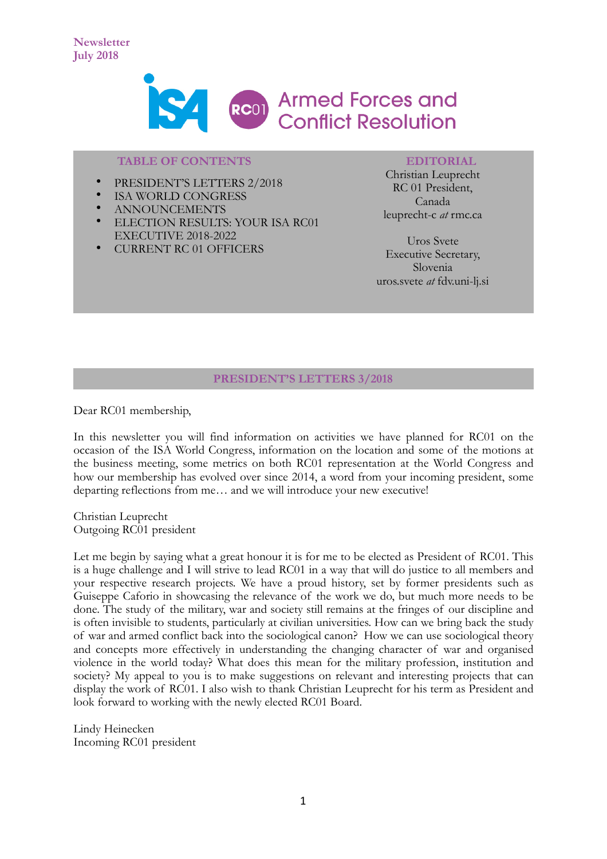

# **TABLE OF CONTENTS**

- PRESIDENT'S LETTERS 2/2018
- **ISA WORLD CONGRESS**
- ANNOUNCEMENTS
- ELECTION RESULTS: YOUR ISA RC01 EXECUTIVE 2018-2022
- CURRENT RC 01 OFFICERS

### **EDITORIAL**

Christian Leuprecht RC 01 President, Canada leuprecht-c *at* rmc.ca

Uros Svete Executive Secretary, Slovenia uros.svete *at* fdv.uni-lj.si

### **PRESIDENT'S LETTERS 3/2018**

Dear RC01 membership,

In this newsletter you will find information on activities we have planned for RC01 on the occasion of the ISA World Congress, information on the location and some of the motions at the business meeting, some metrics on both RC01 representation at the World Congress and how our membership has evolved over since 2014, a word from your incoming president, some departing reflections from me… and we will introduce your new executive!

Christian Leuprecht Outgoing RC01 president

Let me begin by saying what a great honour it is for me to be elected as President of RC01. This is a huge challenge and I will strive to lead RC01 in a way that will do justice to all members and your respective research projects. We have a proud history, set by former presidents such as Guiseppe Caforio in showcasing the relevance of the work we do, but much more needs to be done. The study of the military, war and society still remains at the fringes of our discipline and is often invisible to students, particularly at civilian universities. How can we bring back the study of war and armed conflict back into the sociological canon? How we can use sociological theory and concepts more effectively in understanding the changing character of war and organised violence in the world today? What does this mean for the military profession, institution and society? My appeal to you is to make suggestions on relevant and interesting projects that can display the work of RC01. I also wish to thank Christian Leuprecht for his term as President and look forward to working with the newly elected RC01 Board.

Lindy Heinecken Incoming RC01 president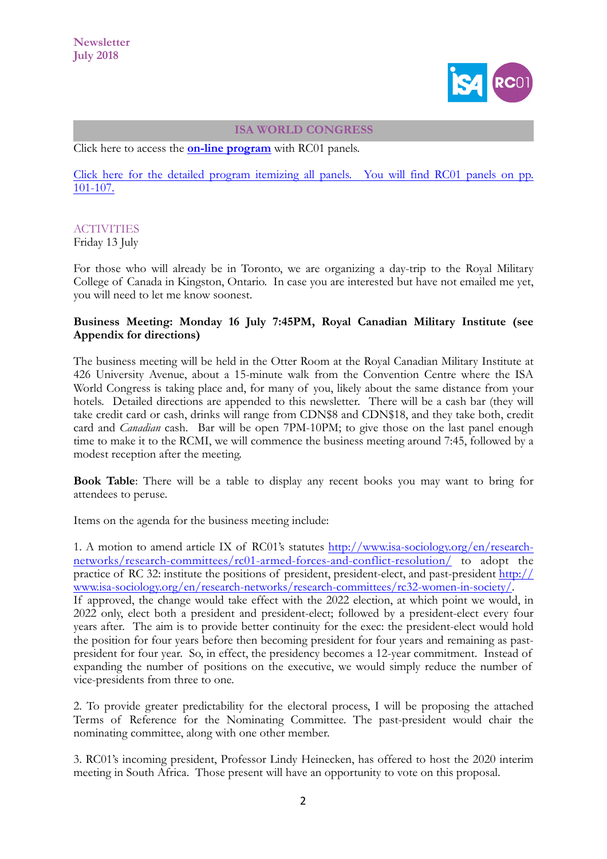

#### **ISA WORLD CONGRESS**

Click here to access the **[on-line program](https://isaconf.confex.com/isaconf/wc2018/webprogram/Symposium438.html)** with RC01 panels.

[Click here for the detailed program itemizing all panels. You will find RC01 panels on pp.](https://www.isa-sociology.org/uploads/files/isa-wcs2018-program-book.pdf) [101-107.](https://www.isa-sociology.org/uploads/files/isa-wcs2018-program-book.pdf)

### **ACTIVITIES**

Friday 13 July

For those who will already be in Toronto, we are organizing a day-trip to the Royal Military College of Canada in Kingston, Ontario. In case you are interested but have not emailed me yet, you will need to let me know soonest.

## **Business Meeting: Monday 16 July 7:45PM, Royal Canadian Military Institute (see Appendix for directions)**

The business meeting will be held in the Otter Room at the Royal Canadian Military Institute at 426 University Avenue, about a 15-minute walk from the Convention Centre where the ISA World Congress is taking place and, for many of you, likely about the same distance from your hotels. Detailed directions are appended to this newsletter. There will be a cash bar (they will take credit card or cash, drinks will range from CDN\$8 and CDN\$18, and they take both, credit card and *Canadian* cash. Bar will be open 7PM-10PM; to give those on the last panel enough time to make it to the RCMI, we will commence the business meeting around 7:45, followed by a modest reception after the meeting.

**Book Table**: There will be a table to display any recent books you may want to bring for attendees to peruse.

Items on the agenda for the business meeting include:

1. A motion to amend article IX of RC01's statutes [http://www.isa-sociology.org/en/research](http://www.isa-sociology.org/en/research-networks/research-committees/rc01-armed-forces-and-conflict-resolution/)[networks/research-committees/rc01-armed-forces-and-conflict-resolution/ to adopt the](http://www.isa-sociology.org/en/research-networks/research-committees/rc01-armed-forces-and-conflict-resolution/)  practice of RC 32: institute the positions of president, president-elect, and past-president [http://](http://www.isa-sociology.org/en/research-networks/research-committees/rc32-women-in-society/) [www.isa-sociology.org/en/research-networks/research-committees/rc32-women-in-society/.](http://www.isa-sociology.org/en/research-networks/research-committees/rc32-women-in-society/)  If approved, the change would take effect with the 2022 election, at which point we would, in 2022 only, elect both a president and president-elect; followed by a president-elect every four years after. The aim is to provide better continuity for the exec: the president-elect would hold the position for four years before then becoming president for four years and remaining as pastpresident for four year. So, in effect, the presidency becomes a 12-year commitment. Instead of expanding the number of positions on the executive, we would simply reduce the number of vice-presidents from three to one.

2. To provide greater predictability for the electoral process, I will be proposing the attached Terms of Reference for the Nominating Committee. The past-president would chair the nominating committee, along with one other member.

3. RC01's incoming president, Professor Lindy Heinecken, has offered to host the 2020 interim meeting in South Africa. Those present will have an opportunity to vote on this proposal.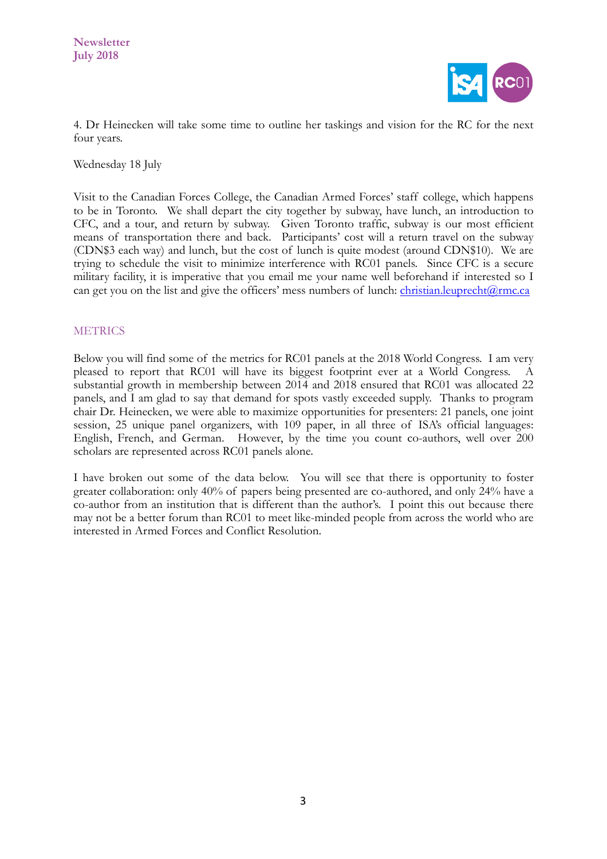

4. Dr Heinecken will take some time to outline her taskings and vision for the RC for the next four years.

Wednesday 18 July

Visit to the Canadian Forces College, the Canadian Armed Forces' staff college, which happens to be in Toronto. We shall depart the city together by subway, have lunch, an introduction to CFC, and a tour, and return by subway. Given Toronto traffic, subway is our most efficient means of transportation there and back. Participants' cost will a return travel on the subway (CDN\$3 each way) and lunch, but the cost of lunch is quite modest (around CDN\$10). We are trying to schedule the visit to minimize interference with RC01 panels. Since CFC is a secure military facility, it is imperative that you email me your name well beforehand if interested so I can get you on the list and give the officers' mess numbers of lunch: christian.leuprecht $@$ rmc.ca

## **METRICS**

Below you will find some of the metrics for RC01 panels at the 2018 World Congress. I am very pleased to report that RC01 will have its biggest footprint ever at a World Congress. A substantial growth in membership between 2014 and 2018 ensured that RC01 was allocated 22 panels, and I am glad to say that demand for spots vastly exceeded supply. Thanks to program chair Dr. Heinecken, we were able to maximize opportunities for presenters: 21 panels, one joint session, 25 unique panel organizers, with 109 paper, in all three of ISA's official languages: English, French, and German. However, by the time you count co-authors, well over 200 scholars are represented across RC01 panels alone.

I have broken out some of the data below. You will see that there is opportunity to foster greater collaboration: only 40% of papers being presented are co-authored, and only 24% have a co-author from an institution that is different than the author's. I point this out because there may not be a better forum than RC01 to meet like-minded people from across the world who are interested in Armed Forces and Conflict Resolution.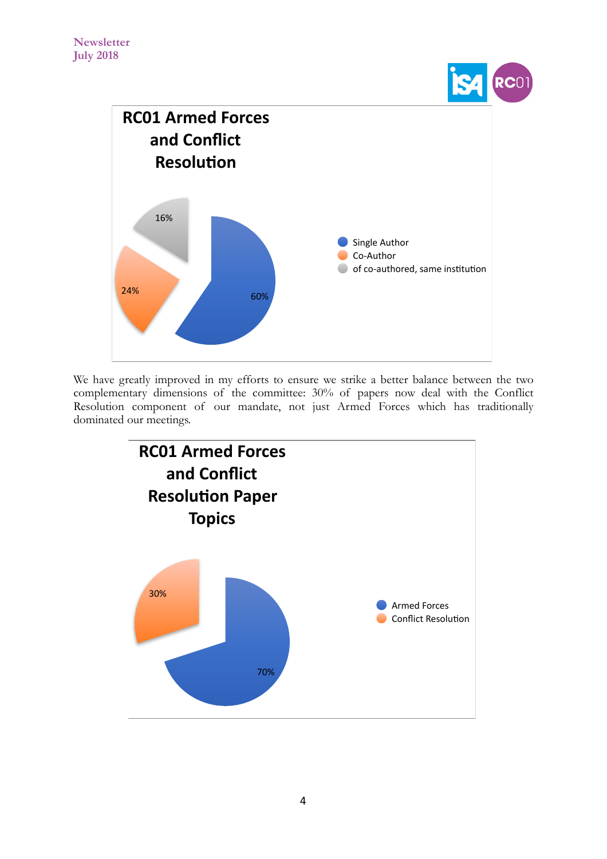RC01



We have greatly improved in my efforts to ensure we strike a better balance between the two complementary dimensions of the committee: 30% of papers now deal with the Conflict Resolution component of our mandate, not just Armed Forces which has traditionally dominated our meetings.

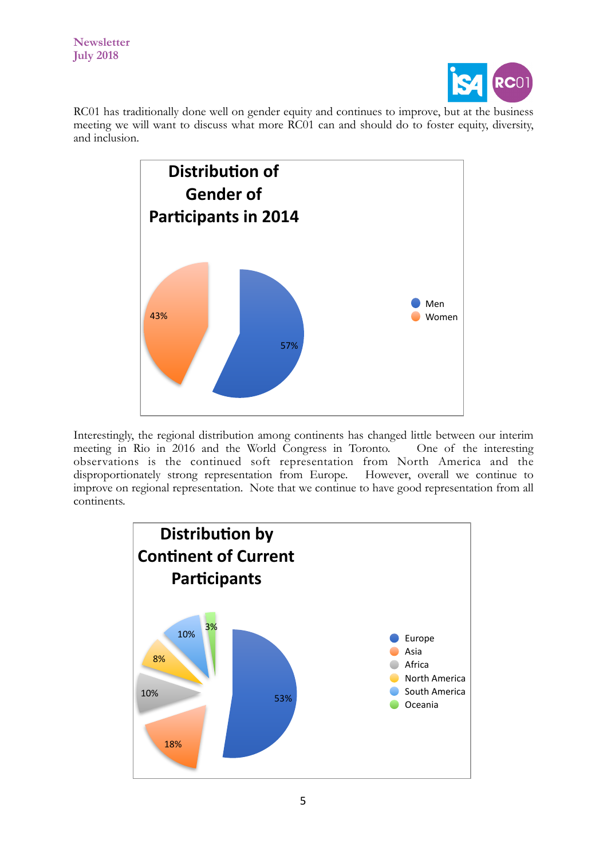

RC01 has traditionally done well on gender equity and continues to improve, but at the business meeting we will want to discuss what more RC01 can and should do to foster equity, diversity, and inclusion.



Interestingly, the regional distribution among continents has changed little between our interim meeting in Rio in 2016 and the World Congress in Toronto. One of the interesting observations is the continued soft representation from North America and the disproportionately strong representation from Europe. However, overall we continue to disproportionately strong representation from Europe. improve on regional representation. Note that we continue to have good representation from all continents.

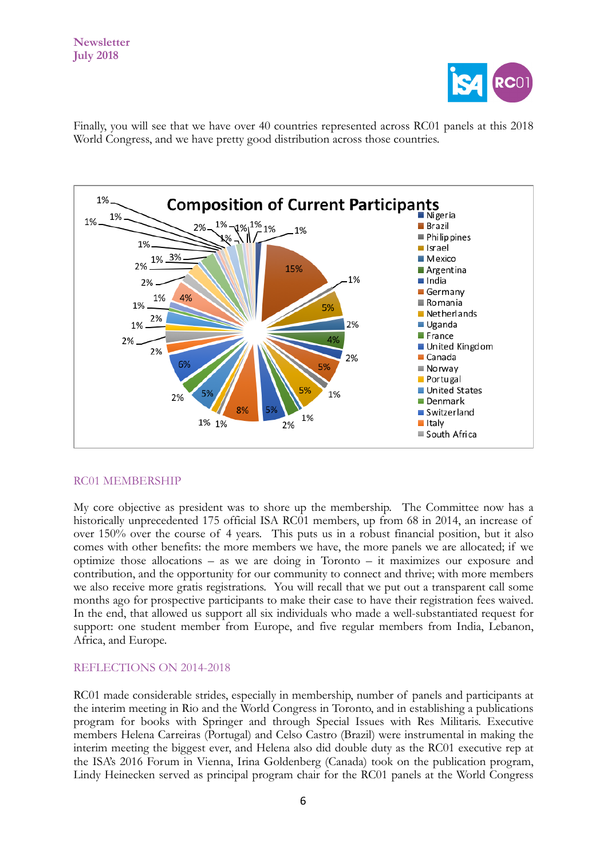

Finally, you will see that we have over 40 countries represented across RC01 panels at this 2018 World Congress, and we have pretty good distribution across those countries.



## RC01 MEMBERSHIP

My core objective as president was to shore up the membership. The Committee now has a historically unprecedented 175 official ISA RC01 members, up from 68 in 2014, an increase of over 150% over the course of 4 years. This puts us in a robust financial position, but it also comes with other benefits: the more members we have, the more panels we are allocated; if we optimize those allocations – as we are doing in Toronto – it maximizes our exposure and contribution, and the opportunity for our community to connect and thrive; with more members we also receive more gratis registrations. You will recall that we put out a transparent call some months ago for prospective participants to make their case to have their registration fees waived. In the end, that allowed us support all six individuals who made a well-substantiated request for support: one student member from Europe, and five regular members from India, Lebanon, Africa, and Europe.

#### REFLECTIONS ON 2014-2018

RC01 made considerable strides, especially in membership, number of panels and participants at the interim meeting in Rio and the World Congress in Toronto, and in establishing a publications program for books with Springer and through Special Issues with Res Militaris. Executive members Helena Carreiras (Portugal) and Celso Castro (Brazil) were instrumental in making the interim meeting the biggest ever, and Helena also did double duty as the RC01 executive rep at the ISA's 2016 Forum in Vienna, Irina Goldenberg (Canada) took on the publication program, Lindy Heinecken served as principal program chair for the RC01 panels at the World Congress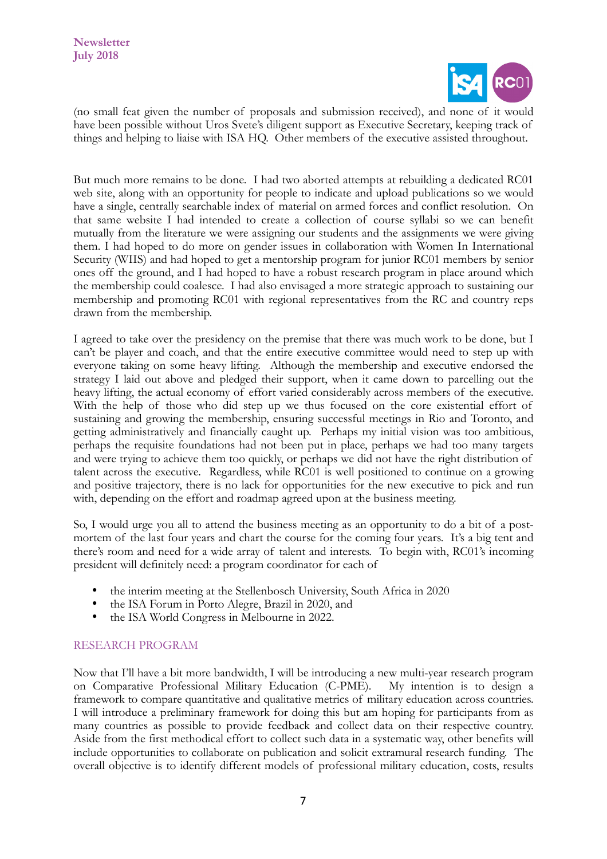

(no small feat given the number of proposals and submission received), and none of it would have been possible without Uros Svete's diligent support as Executive Secretary, keeping track of things and helping to liaise with ISA HQ. Other members of the executive assisted throughout.

But much more remains to be done. I had two aborted attempts at rebuilding a dedicated RC01 web site, along with an opportunity for people to indicate and upload publications so we would have a single, centrally searchable index of material on armed forces and conflict resolution. On that same website I had intended to create a collection of course syllabi so we can benefit mutually from the literature we were assigning our students and the assignments we were giving them. I had hoped to do more on gender issues in collaboration with Women In International Security (WIIS) and had hoped to get a mentorship program for junior RC01 members by senior ones off the ground, and I had hoped to have a robust research program in place around which the membership could coalesce. I had also envisaged a more strategic approach to sustaining our membership and promoting RC01 with regional representatives from the RC and country reps drawn from the membership.

I agreed to take over the presidency on the premise that there was much work to be done, but I can't be player and coach, and that the entire executive committee would need to step up with everyone taking on some heavy lifting. Although the membership and executive endorsed the strategy I laid out above and pledged their support, when it came down to parcelling out the heavy lifting, the actual economy of effort varied considerably across members of the executive. With the help of those who did step up we thus focused on the core existential effort of sustaining and growing the membership, ensuring successful meetings in Rio and Toronto, and getting administratively and financially caught up. Perhaps my initial vision was too ambitious, perhaps the requisite foundations had not been put in place, perhaps we had too many targets and were trying to achieve them too quickly, or perhaps we did not have the right distribution of talent across the executive. Regardless, while RC01 is well positioned to continue on a growing and positive trajectory, there is no lack for opportunities for the new executive to pick and run with, depending on the effort and roadmap agreed upon at the business meeting.

So, I would urge you all to attend the business meeting as an opportunity to do a bit of a postmortem of the last four years and chart the course for the coming four years. It's a big tent and there's room and need for a wide array of talent and interests. To begin with, RC01's incoming president will definitely need: a program coordinator for each of

- the interim meeting at the Stellenbosch University, South Africa in 2020
- the ISA Forum in Porto Alegre, Brazil in 2020, and
- the ISA World Congress in Melbourne in 2022.

## RESEARCH PROGRAM

Now that I'll have a bit more bandwidth, I will be introducing a new multi-year research program on Comparative Professional Military Education (C-PME). My intention is to design a framework to compare quantitative and qualitative metrics of military education across countries. I will introduce a preliminary framework for doing this but am hoping for participants from as many countries as possible to provide feedback and collect data on their respective country. Aside from the first methodical effort to collect such data in a systematic way, other benefits will include opportunities to collaborate on publication and solicit extramural research funding. The overall objective is to identify different models of professional military education, costs, results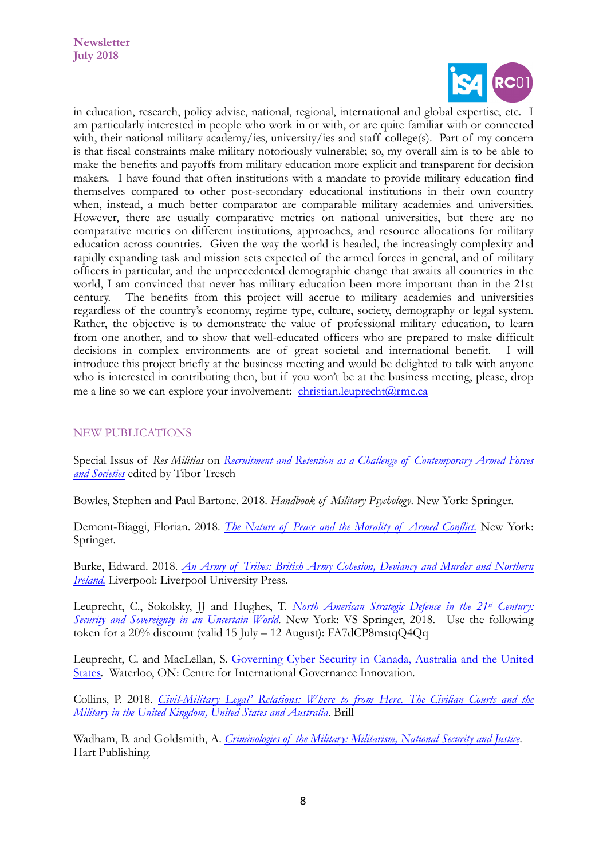

in education, research, policy advise, national, regional, international and global expertise, etc. I am particularly interested in people who work in or with, or are quite familiar with or connected with, their national military academy/ies, university/ies and staff college(s). Part of my concern is that fiscal constraints make military notoriously vulnerable; so, my overall aim is to be able to make the benefits and payoffs from military education more explicit and transparent for decision makers. I have found that often institutions with a mandate to provide military education find themselves compared to other post-secondary educational institutions in their own country when, instead, a much better comparator are comparable military academies and universities. However, there are usually comparative metrics on national universities, but there are no comparative metrics on different institutions, approaches, and resource allocations for military education across countries. Given the way the world is headed, the increasingly complexity and rapidly expanding task and mission sets expected of the armed forces in general, and of military officers in particular, and the unprecedented demographic change that awaits all countries in the world, I am convinced that never has military education been more important than in the 21st century. The benefits from this project will accrue to military academies and universities regardless of the country's economy, regime type, culture, society, demography or legal system. Rather, the objective is to demonstrate the value of professional military education, to learn from one another, and to show that well-educated officers who are prepared to make difficult decisions in complex environments are of great societal and international benefit. I will introduce this project briefly at the business meeting and would be delighted to talk with anyone who is interested in contributing then, but if you won't be at the business meeting, please, drop me a line so we can explore your involvement: [christian.leuprecht@rmc.ca](mailto:christian.leuprecht@rmc.ca) 

# NEW PUBLICATIONS

Special Issus of *Res Militias* on *[Recruitment and Retention as a Challenge of Contemporary Armed Forces](http://www.slovenskavojska.si/fileadmin/slovenska_vojska/pdf/vojaski_izzivi/2018/svi_20_2.pdf) [and Societies](http://www.slovenskavojska.si/fileadmin/slovenska_vojska/pdf/vojaski_izzivi/2018/svi_20_2.pdf)* edited by Tibor Tresch

Bowles, Stephen and Paul Bartone. 2018. *Handbook of Military Psychology*. New York: Springer.

Demont-Biaggi, Florian. 2018. *[The Nature of Peace and the Morality of Armed Conflict](http://www.springer.com/services+for+this+book?SGWID=0-1772415-3261-0-9783319571225)*. New York: Springer.

Burke, Edward. 2018. *[An Army of Tribes: British Army Cohesion, Deviancy and Murder and Northern](https://liverpooluniversitypress.co.uk/products/108172) [Ireland.](https://liverpooluniversitypress.co.uk/products/108172)* Liverpool: Liverpool University Press.

Leuprecht, C., Sokolsky, JJ and Hughes, T. *North American Strategic Defence in the 21st Century: [Security and Sovereignty in an Uncertain World](https://www.springer.com/us/book/9783319909776)*. New York: VS Springer, 2018. Use the following token for a  $20\%$  discount (valid 15 July – 12 August): FA7dCP8mstqO4Oq

Leuprecht, C. and MacLellan, S. [Governing Cyber Security in Canada, Australia and the United](https://www.cigionline.org/publications/governing-cyber-security-canada-australia-and-united-states) [States.](https://www.cigionline.org/publications/governing-cyber-security-canada-australia-and-united-states) Waterloo, ON: Centre for International Governance Innovation.

Collins, P. 2018. *[Civil-Military Legal' Relations: Where to from Here.](https://brill.com/view/title/34292) The Civilian Courts and the [Military in the United Kingdom, United States and Australia](https://brill.com/view/title/34292)*. Brill

Wadham, B. and Goldsmith, A. *[Criminologies of the Military: Militarism, National Security and Justice](https://www.bloomsburyprofessional.com/uk/criminologies-of-the-military-9781509904877/)*. Hart Publishing.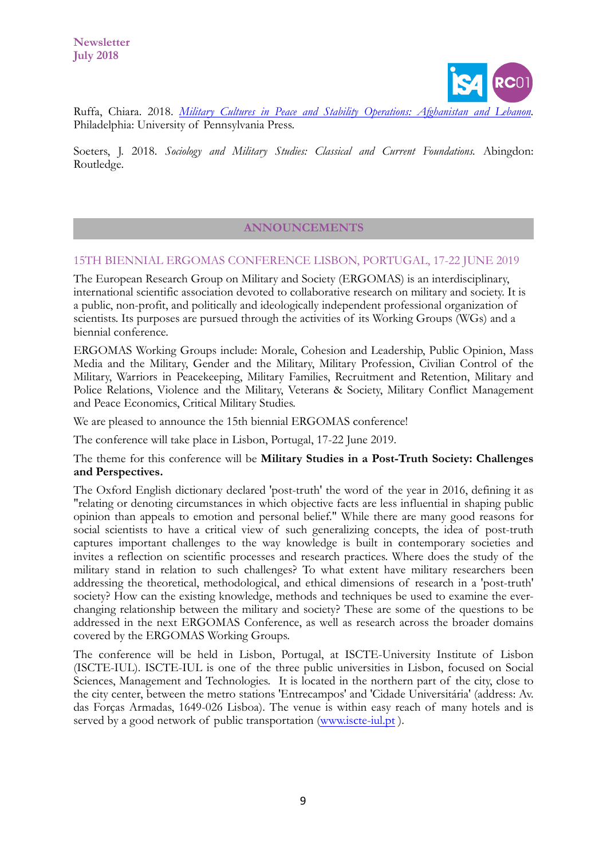

Ruffa, Chiara. 2018. *[Military Cultures in Peace and Stability Operations:](http://www.upenn.edu/pennpress/book/15820.html) Afghanistan and Lebanon.*  Philadelphia: University of Pennsylvania Press.

Soeters, J. 2018. *Sociology and Military Studies: Classical and Current Foundations.* Abingdon: Routledge.

### **ANNOUNCEMENTS**

### 15TH BIENNIAL ERGOMAS CONFERENCE LISBON, PORTUGAL, 17-22 JUNE 2019

The European Research Group on Military and Society (ERGOMAS) is an interdisciplinary, international scientific association devoted to collaborative research on military and society. It is a public, non-profit, and politically and ideologically independent professional organization of scientists. Its purposes are pursued through the activities of its Working Groups (WGs) and a biennial conference.

ERGOMAS Working Groups include: Morale, Cohesion and Leadership, Public Opinion, Mass Media and the Military, Gender and the Military, Military Profession, Civilian Control of the Military, Warriors in Peacekeeping, Military Families, Recruitment and Retention, Military and Police Relations, Violence and the Military, Veterans & Society, Military Conflict Management and Peace Economics, Critical Military Studies.

We are pleased to announce the 15th biennial ERGOMAS conference!

The conference will take place in Lisbon, Portugal, 17-22 June 2019.

### The theme for this conference will be **Military Studies in a Post-Truth Society: Challenges and Perspectives.**

The Oxford English dictionary declared 'post-truth' the word of the year in 2016, defining it as "relating or denoting circumstances in which objective facts are less influential in shaping public opinion than appeals to emotion and personal belief." While there are many good reasons for social scientists to have a critical view of such generalizing concepts, the idea of post-truth captures important challenges to the way knowledge is built in contemporary societies and invites a reflection on scientific processes and research practices. Where does the study of the military stand in relation to such challenges? To what extent have military researchers been addressing the theoretical, methodological, and ethical dimensions of research in a 'post-truth' society? How can the existing knowledge, methods and techniques be used to examine the everchanging relationship between the military and society? These are some of the questions to be addressed in the next ERGOMAS Conference, as well as research across the broader domains covered by the ERGOMAS Working Groups.

The conference will be held in Lisbon, Portugal, at ISCTE-University Institute of Lisbon (ISCTE-IUL). ISCTE-IUL is one of the three public universities in Lisbon, focused on Social Sciences, Management and Technologies. It is located in the northern part of the city, close to the city center, between the metro stations 'Entrecampos' and 'Cidade Universitária' (address: Av. das Forças Armadas, 1649-026 Lisboa). The venue is within easy reach of many hotels and is served by a good network of public transportation ([www.iscte-iul.pt](http://www.iscte-iul.pt)).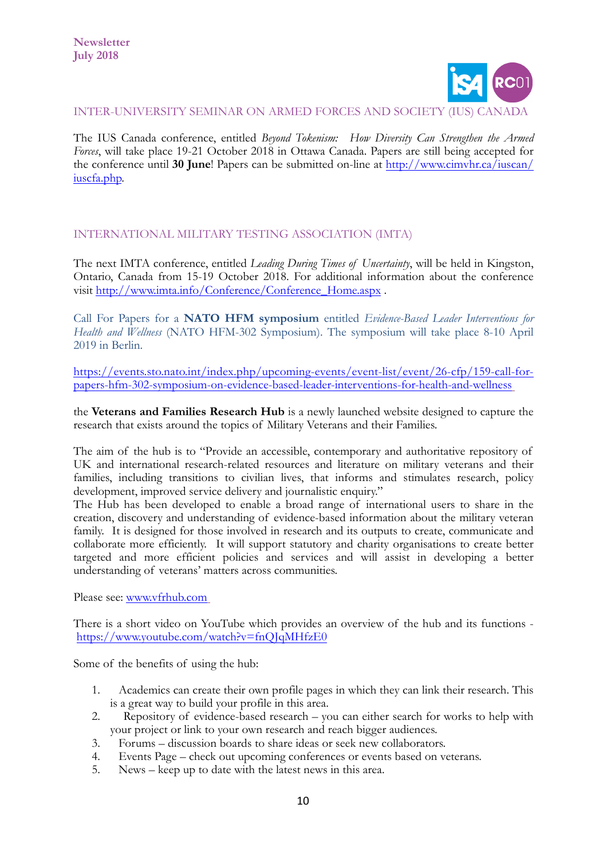

#### INTER-UNIVERSITY SEMINAR ON ARMED FORCES AND SOCIETY (IUS) CANADA

The IUS Canada conference, entitled *Beyond Tokenism: How Diversity Can Strengthen the Armed Forces*, will take place 19-21 October 2018 in Ottawa Canada. Papers are still being accepted for the conference until **30 June**! Papers can be submitted on-line at [http://www.cimvhr.ca/iuscan/](http://www.cimvhr.ca/iuscan/iuscfa.php) [iuscfa.php.](http://www.cimvhr.ca/iuscan/iuscfa.php)

## INTERNATIONAL MILITARY TESTING ASSOCIATION (IMTA)

The next IMTA conference, entitled *Leading During Times of Uncertainty*, will be held in Kingston, Ontario, Canada from 15-19 October 2018. For additional information about the conference visit [http://www.imta.info/Conference/Conference\\_Home.aspx](http://www.imta.info/Conference/Conference_Home.aspx) .

Call For Papers for a **NATO HFM symposium** entitled *Evidence-Based Leader Interventions for Health and Wellness* (NATO HFM-302 Symposium). The symposium will take place 8-10 April 2019 in Berlin.

[https://events.sto.nato.int/index.php/upcoming-events/event-list/event/26-cfp/159-call-for](https://events.sto.nato.int/index.php/upcoming-events/event-list/event/26-cfp/159-call-for-papers-hfm-302-symposium-on-evidence-based-leader-interventions-for-health-and-wellness)[papers-hfm-302-symposium-on-evidence-based-leader-interventions-for-health-and-wellness](https://events.sto.nato.int/index.php/upcoming-events/event-list/event/26-cfp/159-call-for-papers-hfm-302-symposium-on-evidence-based-leader-interventions-for-health-and-wellness)

the **Veterans and Families Research Hub** is a newly launched website designed to capture the research that exists around the topics of Military Veterans and their Families.

The aim of the hub is to "Provide an accessible, contemporary and authoritative repository of UK and international research-related resources and literature on military veterans and their families, including transitions to civilian lives, that informs and stimulates research, policy development, improved service delivery and journalistic enquiry."

The Hub has been developed to enable a broad range of international users to share in the creation, discovery and understanding of evidence-based information about the military veteran family. It is designed for those involved in research and its outputs to create, communicate and collaborate more efficiently. It will support statutory and charity organisations to create better targeted and more efficient policies and services and will assist in developing a better understanding of veterans' matters across communities.

Please see: [www.vfrhub.com](http://www.vfrhub.com)

There is a short video on YouTube which provides an overview of the hub and its functions <https://www.youtube.com/watch?v=fnQJqMHfzE0>

Some of the benefits of using the hub:

- 1. Academics can create their own profile pages in which they can link their research. This is a great way to build your profile in this area.
- 2. Repository of evidence-based research you can either search for works to help with your project or link to your own research and reach bigger audiences.
- 3. Forums discussion boards to share ideas or seek new collaborators.
- 4. Events Page check out upcoming conferences or events based on veterans.
- 5. News keep up to date with the latest news in this area.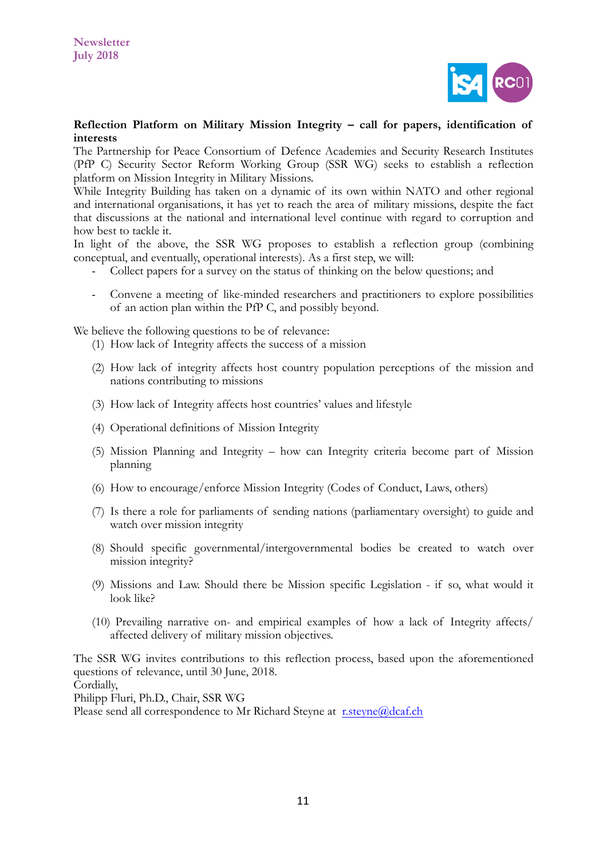

### **Reflection Platform on Military Mission Integrity – call for papers, identification of interests**

The Partnership for Peace Consortium of Defence Academies and Security Research Institutes (PfP C) Security Sector Reform Working Group (SSR WG) seeks to establish a reflection platform on Mission Integrity in Military Missions.

While Integrity Building has taken on a dynamic of its own within NATO and other regional and international organisations, it has yet to reach the area of military missions, despite the fact that discussions at the national and international level continue with regard to corruption and how best to tackle it.

In light of the above, the SSR WG proposes to establish a reflection group (combining conceptual, and eventually, operational interests). As a first step, we will:

- Collect papers for a survey on the status of thinking on the below questions; and
- Convene a meeting of like-minded researchers and practitioners to explore possibilities of an action plan within the PfP C, and possibly beyond.

We believe the following questions to be of relevance:

- (1) How lack of Integrity affects the success of a mission
- (2) How lack of integrity affects host country population perceptions of the mission and nations contributing to missions
- (3) How lack of Integrity affects host countries' values and lifestyle
- (4) Operational definitions of Mission Integrity
- (5) Mission Planning and Integrity how can Integrity criteria become part of Mission planning
- (6) How to encourage/enforce Mission Integrity (Codes of Conduct, Laws, others)
- (7) Is there a role for parliaments of sending nations (parliamentary oversight) to guide and watch over mission integrity
- (8) Should specific governmental/intergovernmental bodies be created to watch over mission integrity?
- (9) Missions and Law. Should there be Mission specific Legislation if so, what would it look like?
- (10) Prevailing narrative on- and empirical examples of how a lack of Integrity affects/ affected delivery of military mission objectives.

The SSR WG invites contributions to this reflection process, based upon the aforementioned questions of relevance, until 30 June, 2018. Cordially,

Philipp Fluri, Ph.D., Chair, SSR WG

Please send all correspondence to Mr Richard Steyne at [r.steyne@dcaf.ch](mailto:r.steyne@dcaf.ch)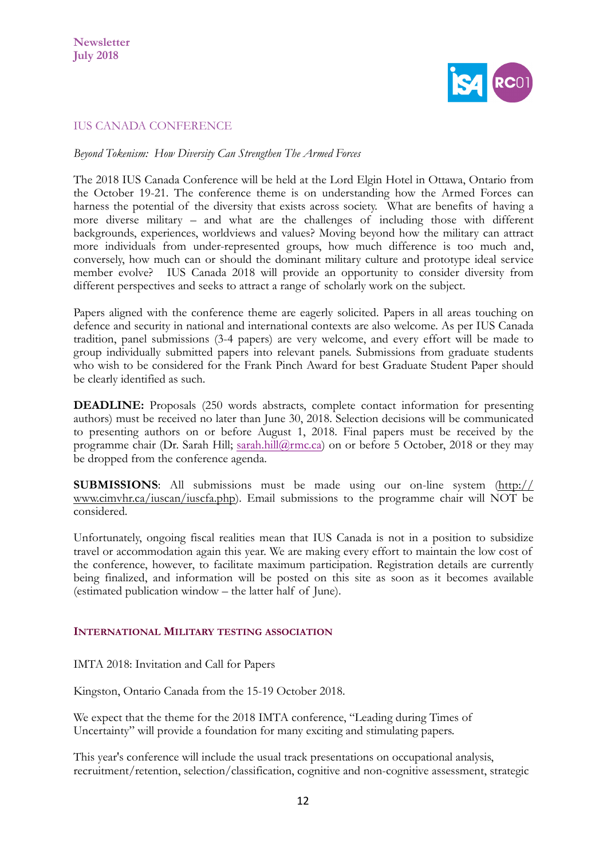

# IUS CANADA CONFERENCE

*Beyond Tokenism: How Diversity Can Strengthen The Armed Forces*

The 2018 IUS Canada Conference will be held at the Lord Elgin Hotel in Ottawa, Ontario from the October 19-21. The conference theme is on understanding how the Armed Forces can harness the potential of the diversity that exists across society. What are benefits of having a more diverse military – and what are the challenges of including those with different backgrounds, experiences, worldviews and values? Moving beyond how the military can attract more individuals from under-represented groups, how much difference is too much and, conversely, how much can or should the dominant military culture and prototype ideal service member evolve? IUS Canada 2018 will provide an opportunity to consider diversity from different perspectives and seeks to attract a range of scholarly work on the subject.

Papers aligned with the conference theme are eagerly solicited. Papers in all areas touching on defence and security in national and international contexts are also welcome. As per IUS Canada tradition, panel submissions (3-4 papers) are very welcome, and every effort will be made to group individually submitted papers into relevant panels. Submissions from graduate students who wish to be considered for the Frank Pinch Award for best Graduate Student Paper should be clearly identified as such.

**DEADLINE:** Proposals (250 words abstracts, complete contact information for presenting authors) must be received no later than June 30, 2018. Selection decisions will be communicated to presenting authors on or before August 1, 2018. Final papers must be received by the programme chair (Dr. Sarah Hill; [sarah.hill@rmc.ca](mailto:sarah.hill@rmc.ca)) on or before 5 October, 2018 or they may be dropped from the conference agenda.

**SUBMISSIONS**: All submissions must be made using our on-line system ([http://](http://esfsecev-ty3013) [www.cimvhr.ca/iuscan/iuscfa.php\)](http://esfsecev-ty3013). Email submissions to the programme chair will NOT be considered.

Unfortunately, ongoing fiscal realities mean that IUS Canada is not in a position to subsidize travel or accommodation again this year. We are making every effort to maintain the low cost of the conference, however, to facilitate maximum participation. Registration details are currently being finalized, and information will be posted on this site as soon as it becomes available (estimated publication window – the latter half of June).

## **INTERNATIONAL MILITARY TESTING ASSOCIATION**

IMTA 2018: Invitation and Call for Papers

Kingston, Ontario Canada from the 15-19 October 2018.

We expect that the theme for the 2018 IMTA conference, "Leading during Times of Uncertainty" will provide a foundation for many exciting and stimulating papers.

This year's conference will include the usual track presentations on occupational analysis, recruitment/retention, selection/classification, cognitive and non-cognitive assessment, strategic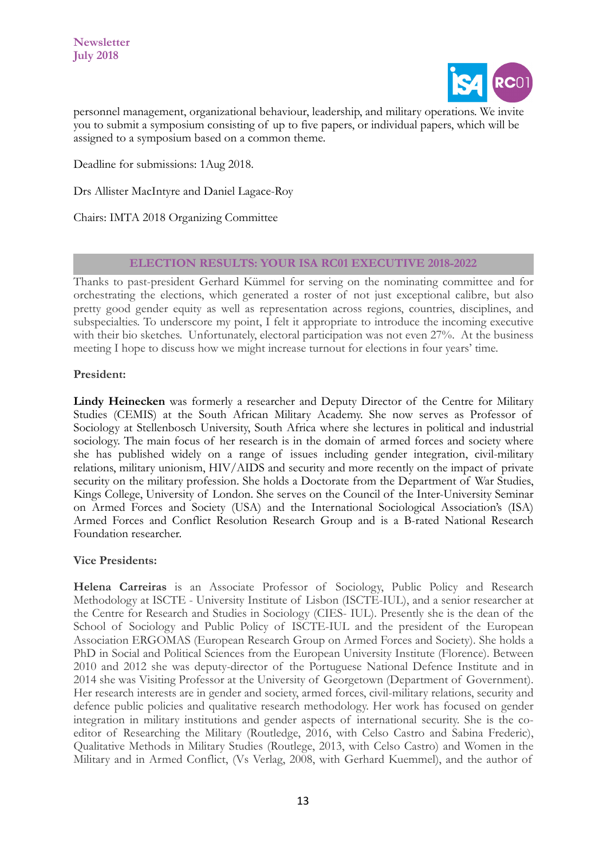

personnel management, organizational behaviour, leadership, and military operations. We invite you to submit a symposium consisting of up to five papers, or individual papers, which will be assigned to a symposium based on a common theme.

Deadline for submissions: 1Aug 2018.

Drs Allister MacIntyre and Daniel Lagace-Roy

Chairs: IMTA 2018 Organizing Committee

### **ELECTION RESULTS: YOUR ISA RC01 EXECUTIVE 2018-2022**

Thanks to past-president Gerhard Kümmel for serving on the nominating committee and for orchestrating the elections, which generated a roster of not just exceptional calibre, but also pretty good gender equity as well as representation across regions, countries, disciplines, and subspecialties. To underscore my point, I felt it appropriate to introduce the incoming executive with their bio sketches. Unfortunately, electoral participation was not even 27%. At the business meeting I hope to discuss how we might increase turnout for elections in four years' time.

### **President:**

**Lindy Heinecken** was formerly a researcher and Deputy Director of the Centre for Military Studies (CEMIS) at the South African Military Academy. She now serves as Professor of Sociology at Stellenbosch University, South Africa where she lectures in political and industrial sociology. The main focus of her research is in the domain of armed forces and society where she has published widely on a range of issues including gender integration, civil-military relations, military unionism, HIV/AIDS and security and more recently on the impact of private security on the military profession. She holds a Doctorate from the Department of War Studies, Kings College, University of London. She serves on the Council of the Inter-University Seminar on Armed Forces and Society (USA) and the International Sociological Association's (ISA) Armed Forces and Conflict Resolution Research Group and is a B-rated National Research Foundation researcher.

#### **Vice Presidents:**

**Helena Carreiras** is an Associate Professor of Sociology, Public Policy and Research Methodology at ISCTE - University Institute of Lisbon (ISCTE-IUL), and a senior researcher at the Centre for Research and Studies in Sociology (CIES- IUL). Presently she is the dean of the School of Sociology and Public Policy of ISCTE-IUL and the president of the European Association ERGOMAS (European Research Group on Armed Forces and Society). She holds a PhD in Social and Political Sciences from the European University Institute (Florence). Between 2010 and 2012 she was deputy-director of the Portuguese National Defence Institute and in 2014 she was Visiting Professor at the University of Georgetown (Department of Government). Her research interests are in gender and society, armed forces, civil-military relations, security and defence public policies and qualitative research methodology. Her work has focused on gender integration in military institutions and gender aspects of international security. She is the coeditor of Researching the Military (Routledge, 2016, with Celso Castro and Sabina Frederic), Qualitative Methods in Military Studies (Routlege, 2013, with Celso Castro) and Women in the Military and in Armed Conflict, (Vs Verlag, 2008, with Gerhard Kuemmel), and the author of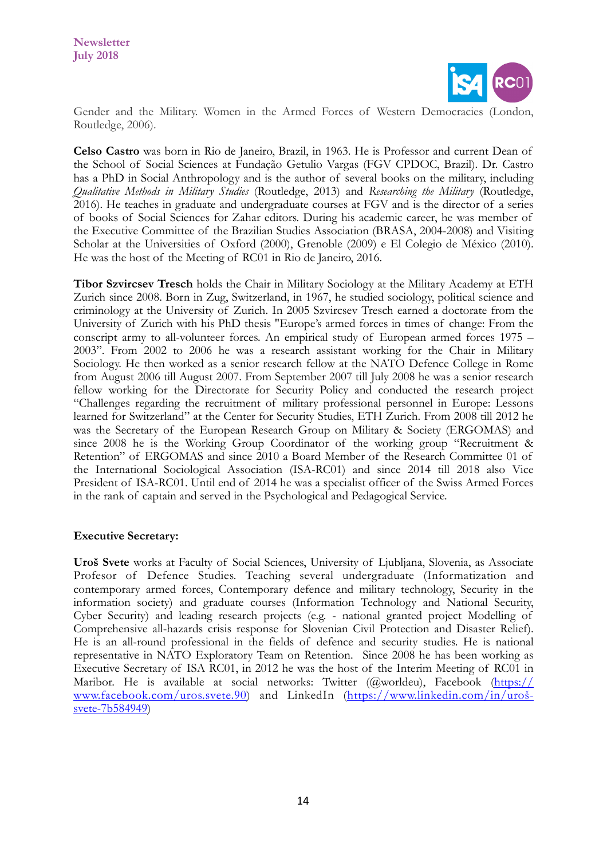

Gender and the Military. Women in the Armed Forces of Western Democracies (London, Routledge, 2006).

**Celso Castro** was born in Rio de Janeiro, Brazil, in 1963. He is Professor and current Dean of the School of Social Sciences at Fundação Getulio Vargas (FGV CPDOC, Brazil). Dr. Castro has a PhD in Social Anthropology and is the author of several books on the military, including *Qualitative Methods in Military Studies* (Routledge, 2013) and *Researching the Military* (Routledge, 2016). He teaches in graduate and undergraduate courses at FGV and is the director of a series of books of Social Sciences for Zahar editors. During his academic career, he was member of the Executive Committee of the Brazilian Studies Association (BRASA, 2004-2008) and Visiting Scholar at the Universities of Oxford (2000), Grenoble (2009) e El Colegio de México (2010). He was the host of the Meeting of RC01 in Rio de Janeiro, 2016.

**Tibor Szvircsev Tresch** holds the Chair in Military Sociology at the Military Academy at ETH Zurich since 2008. Born in Zug, Switzerland, in 1967, he studied sociology, political science and criminology at the University of Zurich. In 2005 Szvircsev Tresch earned a doctorate from the University of Zurich with his PhD thesis "Europe's armed forces in times of change: From the conscript army to all-volunteer forces. An empirical study of European armed forces 1975 – 2003". From 2002 to 2006 he was a research assistant working for the Chair in Military Sociology. He then worked as a senior research fellow at the NATO Defence College in Rome from August 2006 till August 2007. From September 2007 till July 2008 he was a senior research fellow working for the Directorate for Security Policy and conducted the research project "Challenges regarding the recruitment of military professional personnel in Europe: Lessons learned for Switzerland" at the Center for Security Studies, ETH Zurich. From 2008 till 2012 he was the Secretary of the European Research Group on Military & Society (ERGOMAS) and since 2008 he is the Working Group Coordinator of the working group "Recruitment & Retention" of ERGOMAS and since 2010 a Board Member of the Research Committee 01 of the International Sociological Association (ISA-RC01) and since 2014 till 2018 also Vice President of ISA-RC01. Until end of 2014 he was a specialist officer of the Swiss Armed Forces in the rank of captain and served in the Psychological and Pedagogical Service.

## **Executive Secretary:**

**Uroš Svete** works at Faculty of Social Sciences, University of Ljubljana, Slovenia, as Associate Profesor of Defence Studies. Teaching several undergraduate (Informatization and contemporary armed forces, Contemporary defence and military technology, Security in the information society) and graduate courses (Information Technology and National Security, Cyber Security) and leading research projects (e.g. - national granted project Modelling of Comprehensive all-hazards crisis response for Slovenian Civil Protection and Disaster Relief). He is an all-round professional in the fields of defence and security studies. He is national representative in NATO Exploratory Team on Retention. Since 2008 he has been working as Executive Secretary of ISA RC01, in 2012 he was the host of the Interim Meeting of RC01 in Maribor. He is available at social networks: Twitter (@worldeu), Facebook [\(https://](https://www.facebook.com/uros.svete.90) [www.facebook.com/uros.svete.90\)](https://www.facebook.com/uros.svete.90) and LinkedIn (https://www.linkedin.com/in/urošsvete-7b584949)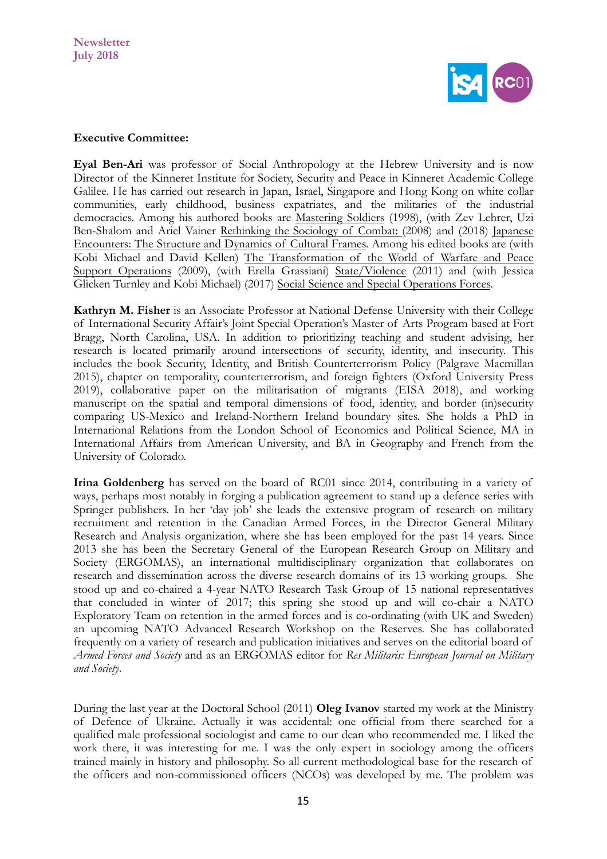

#### **Executive Committee:**

**Eyal Ben-Ari** was professor of Social Anthropology at the Hebrew University and is now Director of the Kinneret Institute for Society, Security and Peace in Kinneret Academic College Galilee. He has carried out research in Japan, Israel, Singapore and Hong Kong on white collar communities, early childhood, business expatriates, and the militaries of the industrial democracies. Among his authored books are Mastering Soldiers (1998), (with Zev Lehrer, Uzi Ben-Shalom and Ariel Vainer Rethinking the Sociology of Combat: (2008) and (2018) Japanese Encounters: The Structure and Dynamics of Cultural Frames. Among his edited books are (with Kobi Michael and David Kellen) The Transformation of the World of Warfare and Peace Support Operations (2009), (with Erella Grassiani) State/Violence (2011) and (with Jessica Glicken Turnley and Kobi Michael) (2017) Social Science and Special Operations Forces.

**Kathryn M. Fisher** is an Associate Professor at National Defense University with their College of International Security Affair's Joint Special Operation's Master of Arts Program based at Fort Bragg, North Carolina, USA. In addition to prioritizing teaching and student advising, her research is located primarily around intersections of security, identity, and insecurity. This includes the book Security, Identity, and British Counterterrorism Policy (Palgrave Macmillan 2015), chapter on temporality, counterterrorism, and foreign fighters (Oxford University Press 2019), collaborative paper on the militarisation of migrants (EISA 2018), and working manuscript on the spatial and temporal dimensions of food, identity, and border (in)security comparing US-Mexico and Ireland-Northern Ireland boundary sites. She holds a PhD in International Relations from the London School of Economics and Political Science, MA in International Affairs from American University, and BA in Geography and French from the University of Colorado.

**Irina Goldenberg** has served on the board of RC01 since 2014, contributing in a variety of ways, perhaps most notably in forging a publication agreement to stand up a defence series with Springer publishers. In her 'day job' she leads the extensive program of research on military recruitment and retention in the Canadian Armed Forces, in the Director General Military Research and Analysis organization, where she has been employed for the past 14 years. Since 2013 she has been the Secretary General of the European Research Group on Military and Society (ERGOMAS), an international multidisciplinary organization that collaborates on research and dissemination across the diverse research domains of its 13 working groups. She stood up and co-chaired a 4-year NATO Research Task Group of 15 national representatives that concluded in winter of 2017; this spring she stood up and will co-chair a NATO Exploratory Team on retention in the armed forces and is co-ordinating (with UK and Sweden) an upcoming NATO Advanced Research Workshop on the Reserves. She has collaborated frequently on a variety of research and publication initiatives and serves on the editorial board of *Armed Forces and Society* and as an ERGOMAS editor for *Res Militaris: European Journal on Military and Society*.

During the last year at the Doctoral School (2011) **Oleg Ivanov** started my work at the Ministry of Defence of Ukraine. Actually it was accidental: one official from there searched for a qualified male professional sociologist and came to our dean who recommended me. I liked the work there, it was interesting for me. I was the only expert in sociology among the officers trained mainly in history and philosophy. So all current methodological base for the research of the officers and non-commissioned officers (NCOs) was developed by me. The problem was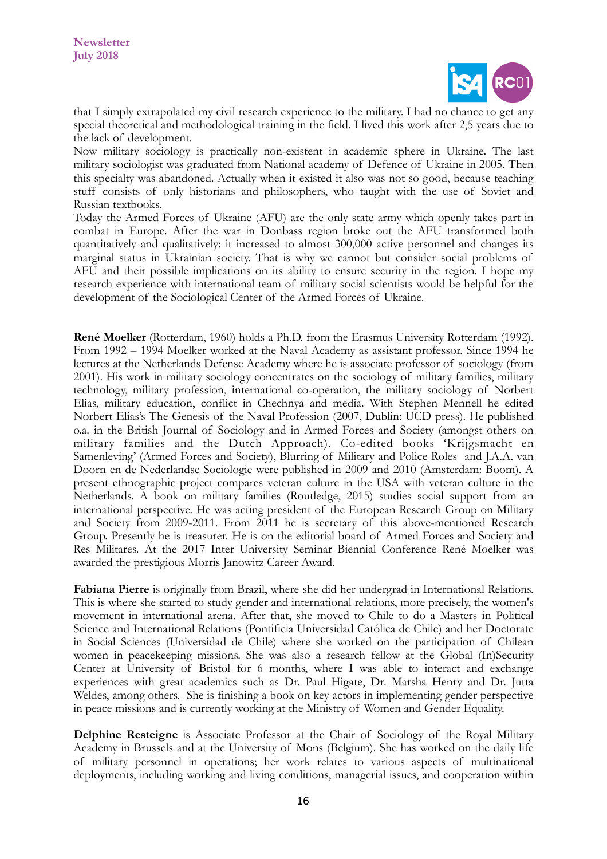

that I simply extrapolated my civil research experience to the military. I had no chance to get any special theoretical and methodological training in the field. I lived this work after 2,5 years due to the lack of development.

Now military sociology is practically non-existent in academic sphere in Ukraine. The last military sociologist was graduated from National academy of Defence of Ukraine in 2005. Then this specialty was abandoned. Actually when it existed it also was not so good, because teaching stuff consists of only historians and philosophers, who taught with the use of Soviet and Russian textbooks.

Today the Armed Forces of Ukraine (AFU) are the only state army which openly takes part in combat in Europe. After the war in Donbass region broke out the AFU transformed both quantitatively and qualitatively: it increased to almost 300,000 active personnel and changes its marginal status in Ukrainian society. That is why we cannot but consider social problems of AFU and their possible implications on its ability to ensure security in the region. I hope my research experience with international team of military social scientists would be helpful for the development of the Sociological Center of the Armed Forces of Ukraine.

**René Moelker** (Rotterdam, 1960) holds a Ph.D. from the Erasmus University Rotterdam (1992). From 1992 – 1994 Moelker worked at the Naval Academy as assistant professor. Since 1994 he lectures at the Netherlands Defense Academy where he is associate professor of sociology (from 2001). His work in military sociology concentrates on the sociology of military families, military technology, military profession, international co-operation, the military sociology of Norbert Elias, military education, conflict in Chechnya and media. With Stephen Mennell he edited Norbert Elias's The Genesis of the Naval Profession (2007, Dublin: UCD press). He published o.a. in the British Journal of Sociology and in Armed Forces and Society (amongst others on military families and the Dutch Approach). Co-edited books 'Krijgsmacht en Samenleving' (Armed Forces and Society), Blurring of Military and Police Roles and J.A.A. van Doorn en de Nederlandse Sociologie were published in 2009 and 2010 (Amsterdam: Boom). A present ethnographic project compares veteran culture in the USA with veteran culture in the Netherlands. A book on military families (Routledge, 2015) studies social support from an international perspective. He was acting president of the European Research Group on Military and Society from 2009-2011. From 2011 he is secretary of this above-mentioned Research Group. Presently he is treasurer. He is on the editorial board of Armed Forces and Society and Res Militares. At the 2017 Inter University Seminar Biennial Conference René Moelker was awarded the prestigious Morris Janowitz Career Award.

**Fabiana Pierre** is originally from Brazil, where she did her undergrad in International Relations. This is where she started to study gender and international relations, more precisely, the women's movement in international arena. After that, she moved to Chile to do a Masters in Political Science and International Relations (Pontificia Universidad Católica de Chile) and her Doctorate in Social Sciences (Universidad de Chile) where she worked on the participation of Chilean women in peacekeeping missions. She was also a research fellow at the Global (In)Security Center at University of Bristol for 6 months, where I was able to interact and exchange experiences with great academics such as Dr. Paul Higate, Dr. Marsha Henry and Dr. Jutta Weldes, among others. She is finishing a book on key actors in implementing gender perspective in peace missions and is currently working at the Ministry of Women and Gender Equality.

**Delphine Resteigne** is Associate Professor at the Chair of Sociology of the Royal Military Academy in Brussels and at the University of Mons (Belgium). She has worked on the daily life of military personnel in operations; her work relates to various aspects of multinational deployments, including working and living conditions, managerial issues, and cooperation within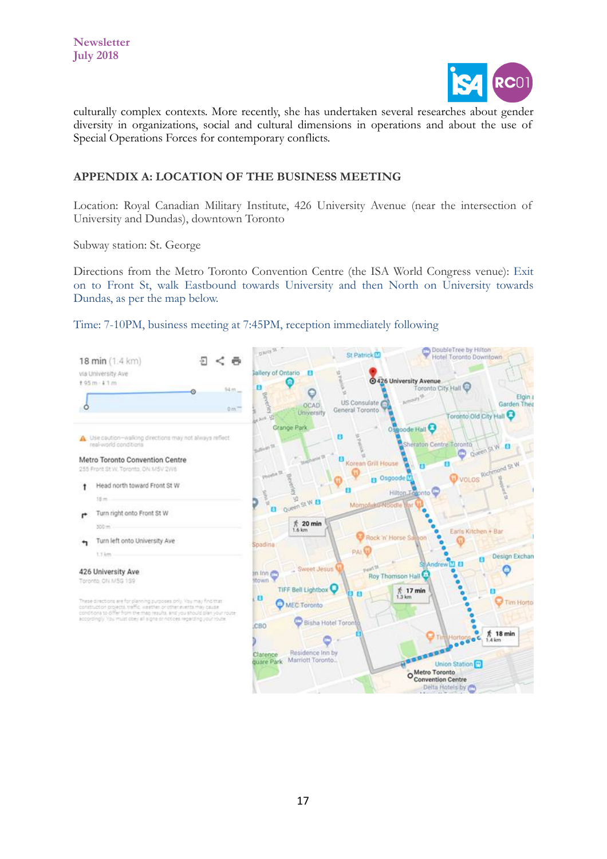

culturally complex contexts. More recently, she has undertaken several researches about gender diversity in organizations, social and cultural dimensions in operations and about the use of Special Operations Forces for contemporary conflicts.

# **APPENDIX A: LOCATION OF THE BUSINESS MEETING**

Location: Royal Canadian Military Institute, 426 University Avenue (near the intersection of University and Dundas), downtown Toronto

Subway station: St. George

Directions from the Metro Toronto Convention Centre (the ISA World Congress venue): Exit on to Front St, walk Eastbound towards University and then North on University towards Dundas, as per the map below.

Time: 7-10PM, business meeting at 7:45PM, reception immediately following